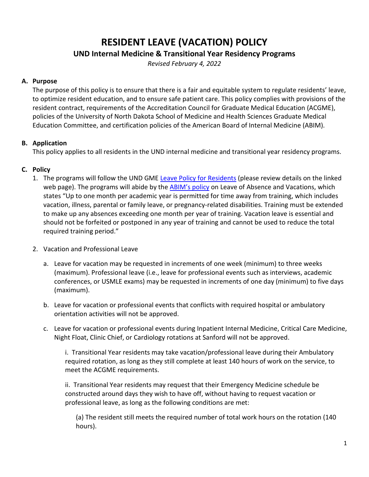## **RESIDENT LEAVE (VACATION) POLICY UND Internal Medicine & Transitional Year Residency Programs**

*Revised February 4, 2022*

## **A. Purpose**

The purpose of this policy is to ensure that there is a fair and equitable system to regulate residents' leave, to optimize resident education, and to ensure safe patient care. This policy complies with provisions of the resident contract, requirements of the Accreditation Council for Graduate Medical Education (ACGME), policies of the University of North Dakota School of Medicine and Health Sciences Graduate Medical Education Committee, and certification policies of the American Board of Internal Medicine (ABIM).

## **B. Application**

This policy applies to all residents in the UND internal medicine and transitional year residency programs.

## **C. Policy**

- 1. The programs will follow the UND GME [Leave Policy for Residents](https://med.und.edu/policies/_files/docs/gme-leave.pdf) (please review details on the linked web page). The programs will abide by the [ABIM's policy](http://www.abim.org/certification/policies/general.aspx#leave) on Leave of Absence and Vacations, which states "Up to one month per academic year is permitted for time away from training, which includes vacation, illness, parental or family leave, or pregnancy-related disabilities. Training must be extended to make up any absences exceeding one month per year of training. Vacation leave is essential and should not be forfeited or postponed in any year of training and cannot be used to reduce the total required training period."
- 2. Vacation and Professional Leave
	- a. Leave for vacation may be requested in increments of one week (minimum) to three weeks (maximum). Professional leave (i.e., leave for professional events such as interviews, academic conferences, or USMLE exams) may be requested in increments of one day (minimum) to five days (maximum).
	- b. Leave for vacation or professional events that conflicts with required hospital or ambulatory orientation activities will not be approved.
	- c. Leave for vacation or professional events during Inpatient Internal Medicine, Critical Care Medicine, Night Float, Clinic Chief, or Cardiology rotations at Sanford will not be approved.

i. Transitional Year residents may take vacation/professional leave during their Ambulatory required rotation, as long as they still complete at least 140 hours of work on the service, to meet the ACGME requirements.

ii. Transitional Year residents may request that their Emergency Medicine schedule be constructed around days they wish to have off, without having to request vacation or professional leave, as long as the following conditions are met:

(a) The resident still meets the required number of total work hours on the rotation (140 hours).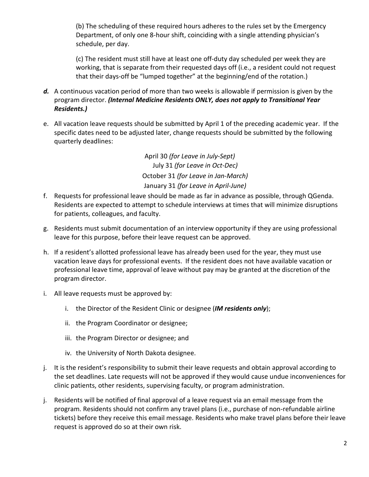(b) The scheduling of these required hours adheres to the rules set by the Emergency Department, of only one 8-hour shift, coinciding with a single attending physician's schedule, per day.

(c) The resident must still have at least one off-duty day scheduled per week they are working, that is separate from their requested days off (i.e., a resident could not request that their days-off be "lumped together" at the beginning/end of the rotation.)

- *d.* A continuous vacation period of more than two weeks is allowable if permission is given by the program director. *(Internal Medicine Residents ONLY, does not apply to Transitional Year Residents.)*
- e. All vacation leave requests should be submitted by April 1 of the preceding academic year. If the specific dates need to be adjusted later, change requests should be submitted by the following quarterly deadlines:

April 30 *(for Leave in July-Sept)* July 31 *(for Leave in Oct-Dec)* October 31 *(for Leave in Jan-March)* January 31 *(for Leave in April-June)*

- f. Requests for professional leave should be made as far in advance as possible, through QGenda. Residents are expected to attempt to schedule interviews at times that will minimize disruptions for patients, colleagues, and faculty.
- g. Residents must submit documentation of an interview opportunity if they are using professional leave for this purpose, before their leave request can be approved.
- h. If a resident's allotted professional leave has already been used for the year, they must use vacation leave days for professional events. If the resident does not have available vacation or professional leave time, approval of leave without pay may be granted at the discretion of the program director.
- i. All leave requests must be approved by:
	- i. the Director of the Resident Clinic or designee (*IM residents only*);
	- ii. the Program Coordinator or designee;
	- iii. the Program Director or designee; and
	- iv. the University of North Dakota designee.
- j. It is the resident's responsibility to submit their leave requests and obtain approval according to the set deadlines. Late requests will not be approved if they would cause undue inconveniences for clinic patients, other residents, supervising faculty, or program administration.
- j. Residents will be notified of final approval of a leave request via an email message from the program. Residents should not confirm any travel plans (i.e., purchase of non-refundable airline tickets) before they receive this email message. Residents who make travel plans before their leave request is approved do so at their own risk.